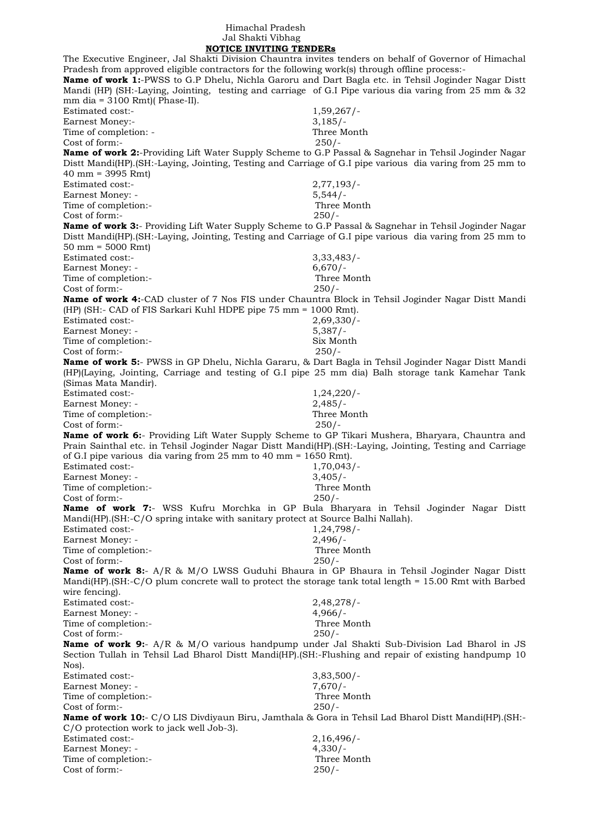## Himachal Pradesh Jal Shakti Vibhag  **NOTICE INVITING TENDERs**

The Executive Engineer, Jal Shakti Division Chauntra invites tenders on behalf of Governor of Himachal Pradesh from approved eligible contractors for the following work(s) through offline process:- **Name of work 1:**-PWSS to G.P Dhelu, Nichla Garoru and Dart Bagla etc. in Tehsil Joginder Nagar Distt Mandi (HP) (SH:-Laying, Jointing, testing and carriage of G.I Pipe various dia varing from 25 mm & 32 mm dia =  $3100$  Rmt)( Phase-II). Estimated cost:- 1,59,267/-Earnest Money:- 3,185/-Time of completion: - Three Month Cost of form:- 250/- **Name of work 2:**-Providing Lift Water Supply Scheme to G.P Passal & Sagnehar in Tehsil Joginder Nagar Distt Mandi(HP).(SH:-Laying, Jointing, Testing and Carriage of G.I pipe various dia varing from 25 mm to 40 mm = 3995 Rmt) Estimated cost:- 2,77,193/- Earnest Money: - 5,544/-Time of completion:- Three Month Cost of form:- 250/- **Name of work 3:**- Providing Lift Water Supply Scheme to G.P Passal & Sagnehar in Tehsil Joginder Nagar Distt Mandi(HP).(SH:-Laying, Jointing, Testing and Carriage of G.I pipe various dia varing from 25 mm to 50 mm = 5000 Rmt) Estimated cost:- 3,33,483/- Earnest Money: - 6,670/-Time of completion:- Three Month Cost of form:- 250/- **Name of work 4:**-CAD cluster of 7 Nos FIS under Chauntra Block in Tehsil Joginder Nagar Distt Mandi (HP) (SH:- CAD of FIS Sarkari Kuhl HDPE pipe 75 mm = 1000 Rmt). Estimated cost:- 2,69,330/- Earnest Money: - 5,387/-Time of completion:- Six Month Cost of form:- 250/- **Name of work 5:**- PWSS in GP Dhelu, Nichla Gararu, & Dart Bagla in Tehsil Joginder Nagar Distt Mandi (HP)(Laying, Jointing, Carriage and testing of G.I pipe 25 mm dia) Balh storage tank Kamehar Tank (Simas Mata Mandir). Estimated cost:- 1,24,220/- Earnest Money: - 2,485/- Time of completion:- Three Month Cost of form:- 250/- **Name of work 6:**- Providing Lift Water Supply Scheme to GP Tikari Mushera, Bharyara, Chauntra and Prain Sainthal etc. in Tehsil Joginder Nagar Distt Mandi(HP).(SH:-Laying, Jointing, Testing and Carriage of G.I pipe various dia varing from 25 mm to 40 mm = 1650 Rmt). Estimated cost:- 1,70,043/- Earnest Money: - 3,405/-Time of completion:- Three Month Cost of form:- 250/- **Name of work 7:**- WSS Kufru Morchka in GP Bula Bharyara in Tehsil Joginder Nagar Distt Mandi(HP).(SH:-C/O spring intake with sanitary protect at Source Balhi Nallah). Estimated cost:- 1,24,798/- Earnest Money: - 2,496/-Time of completion:- Three Month Cost of form:- 250/- **Name of work 8:**- A/R & M/O LWSS Guduhi Bhaura in GP Bhaura in Tehsil Joginder Nagar Distt Mandi(HP).(SH:-C/O plum concrete wall to protect the storage tank total length = 15.00 Rmt with Barbed wire fencing). Estimated cost:- 2,48,278/- Earnest Money: - 4,966/-Time of completion:- Three Month Cost of form:- 250/- **Name of work 9:**- A/R & M/O various handpump under Jal Shakti Sub-Division Lad Bharol in JS Section Tullah in Tehsil Lad Bharol Distt Mandi(HP).(SH:-Flushing and repair of existing handpump 10 Nos). Estimated cost:- 3,83,500/- Earnest Money: - 7,670/-Time of completion:- Three Month Cost of form:- 250/- **Name of work 10:**- C/O LIS Divdiyaun Biru, Jamthala & Gora in Tehsil Lad Bharol Distt Mandi(HP).(SH:- C/O protection work to jack well Job-3). Estimated cost:- 2,16,496/- Earnest Money: - 4,330/-Time of completion:- Three Month Cost of form:- 250/-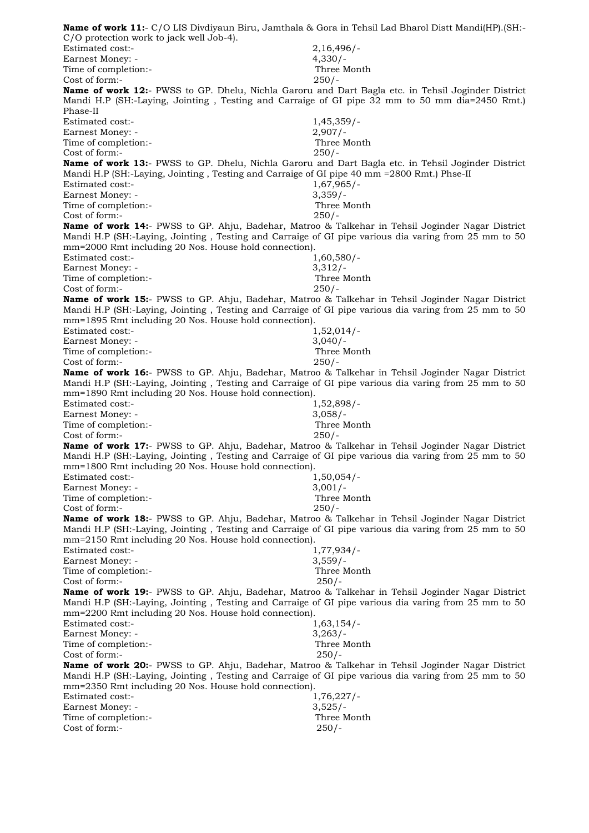| -:Name of work 11:- C/O LIS Divdiyaun Biru, Jamthala & Gora in Tehsil Lad Bharol Distt Mandi(HP).(SH<br>C/O protection work to jack well Job-4).                                                                                                                           |                          |
|----------------------------------------------------------------------------------------------------------------------------------------------------------------------------------------------------------------------------------------------------------------------------|--------------------------|
| Estimated cost:-                                                                                                                                                                                                                                                           | $2,16,496/-$             |
| Earnest Money: -                                                                                                                                                                                                                                                           | $4,330/-$                |
| Time of completion:-                                                                                                                                                                                                                                                       | Three Month              |
| Cost of form:-                                                                                                                                                                                                                                                             | $250/-$                  |
| Name of work 12:- PWSS to GP. Dhelu, Nichla Garoru and Dart Bagla etc. in Tehsil Joginder District<br>Mandi H.P (SH:-Laying, Jointing, Testing and Carraige of GI pipe 32 mm to 50 mm dia=2450 Rmt.)<br>Phase-II                                                           |                          |
| Estimated cost:-                                                                                                                                                                                                                                                           | $1,45,359/-$             |
| Earnest Money: -                                                                                                                                                                                                                                                           | $2,907/-$                |
| Time of completion:-                                                                                                                                                                                                                                                       | Three Month              |
| Cost of form:-                                                                                                                                                                                                                                                             | $250/-$                  |
| Name of work 13:- PWSS to GP. Dhelu, Nichla Garoru and Dart Bagla etc. in Tehsil Joginder District                                                                                                                                                                         |                          |
| Mandi H.P (SH:-Laying, Jointing , Testing and Carraige of GI pipe 40 mm =2800 Rmt.) Phse-II<br>Estimated cost:-                                                                                                                                                            | $1,67,965/-$             |
| Earnest Money: -                                                                                                                                                                                                                                                           | $3,359/-$                |
| Time of completion:-                                                                                                                                                                                                                                                       | Three Month              |
| Cost of form:-                                                                                                                                                                                                                                                             | $250/-$                  |
| <b>Name of work 14:</b> - PWSS to GP. Ahju, Badehar, Matroo & Talkehar in Tehsil Joginder Nagar District<br>Mandi H.P (SH:-Laying, Jointing, Testing and Carraige of GI pipe various dia varing from 25 mm to 50<br>mm=2000 Rmt including 20 Nos. House hold connection).  |                          |
| Estimated cost:-                                                                                                                                                                                                                                                           | $1,60,580/-$             |
| <b>Earnest Money: -</b>                                                                                                                                                                                                                                                    | $3,312/-$<br>Three Month |
| Time of completion:-<br>Cost of form:-                                                                                                                                                                                                                                     | $250/-$                  |
| <b>Name of work 15:</b> - PWSS to GP. Ahju, Badehar, Matroo & Talkehar in Tehsil Joginder Nagar District                                                                                                                                                                   |                          |
| Mandi H.P (SH:-Laying, Jointing, Testing and Carraige of GI pipe various dia varing from 25 mm to 50<br>mm=1895 Rmt including 20 Nos. House hold connection).                                                                                                              |                          |
| Estimated cost:-                                                                                                                                                                                                                                                           | $1,52,014/-$             |
| Earnest Money: -                                                                                                                                                                                                                                                           | $3,040/-$                |
| Time of completion:-<br>Cost of form:-                                                                                                                                                                                                                                     | Three Month<br>$250/-$   |
| <b>Name of work 16:</b> - PWSS to GP. Ahju, Badehar, Matroo & Talkehar in Tehsil Joginder Nagar District                                                                                                                                                                   |                          |
| Mandi H.P (SH:-Laying, Jointing, Testing and Carraige of GI pipe various dia varing from 25 mm to 50<br>mm=1890 Rmt including 20 Nos. House hold connection).                                                                                                              |                          |
| Estimated cost:-                                                                                                                                                                                                                                                           | $1,52,898/-$             |
| Earnest Money: -                                                                                                                                                                                                                                                           | $3,058/-$                |
| Time of completion:-                                                                                                                                                                                                                                                       | Three Month              |
| Cost of form:-                                                                                                                                                                                                                                                             | $250/-$                  |
| <b>Name of work 17:</b> - PWSS to GP. Ahju, Badehar, Matroo & Talkehar in Tehsil Joginder Nagar District<br>Mandi H.P (SH:-Laying, Jointing, Testing and Carraige of GI pipe various dia varing from 25 mm to 50<br>mm=1800 Rmt including 20 Nos. House hold connection).  |                          |
| Estimated cost:-                                                                                                                                                                                                                                                           | $1,50,054/-$             |
| Earnest Money: -                                                                                                                                                                                                                                                           | $3,001/-$                |
| Time of completion:-                                                                                                                                                                                                                                                       | Three Month              |
| Cost of form:-                                                                                                                                                                                                                                                             | $250/-$                  |
| <b>Name of work 18:</b> - PWSS to GP. Ahju, Badehar, Matroo & Talkehar in Tehsil Joginder Nagar District<br>Mandi H.P (SH:-Laying, Jointing , Testing and Carraige of GI pipe various dia varing from 25 mm to 50<br>mm=2150 Rmt including 20 Nos. House hold connection). |                          |
| <b>Estimated cost:-</b>                                                                                                                                                                                                                                                    | $1,77,934/-$             |
| Earnest Money: -                                                                                                                                                                                                                                                           | $3,559/-$                |
| Time of completion:-                                                                                                                                                                                                                                                       | Three Month              |
| Cost of form:-                                                                                                                                                                                                                                                             | $250/-$                  |
| <b>Name of work 19:</b> - PWSS to GP. Ahju, Badehar, Matroo & Talkehar in Tehsil Joginder Nagar District<br>Mandi H.P (SH:-Laying, Jointing, Testing and Carraige of GI pipe various dia varing from 25 mm to 50<br>mm=2200 Rmt including 20 Nos. House hold connection).  |                          |
| Estimated cost:-                                                                                                                                                                                                                                                           | $1,63,154/-$             |
| Earnest Money: -                                                                                                                                                                                                                                                           | 3,263/                   |
| Time of completion:-                                                                                                                                                                                                                                                       | Three Month              |
| Cost of form:-                                                                                                                                                                                                                                                             | $250/-$                  |
| <b>Name of work 20:</b> - PWSS to GP. Ahju, Badehar, Matroo & Talkehar in Tehsil Joginder Nagar District<br>Mandi H.P (SH:-Laying, Jointing, Testing and Carraige of GI pipe various dia varing from 25 mm to 50<br>mm=2350 Rmt including 20 Nos. House hold connection).  |                          |
| Estimated cost:-                                                                                                                                                                                                                                                           | 1,76,227/                |
| Earnest Money: -<br>Time of completion:-                                                                                                                                                                                                                                   | $3,525/-$<br>Three Month |
| Cost of form:-                                                                                                                                                                                                                                                             | $250/-$                  |
|                                                                                                                                                                                                                                                                            |                          |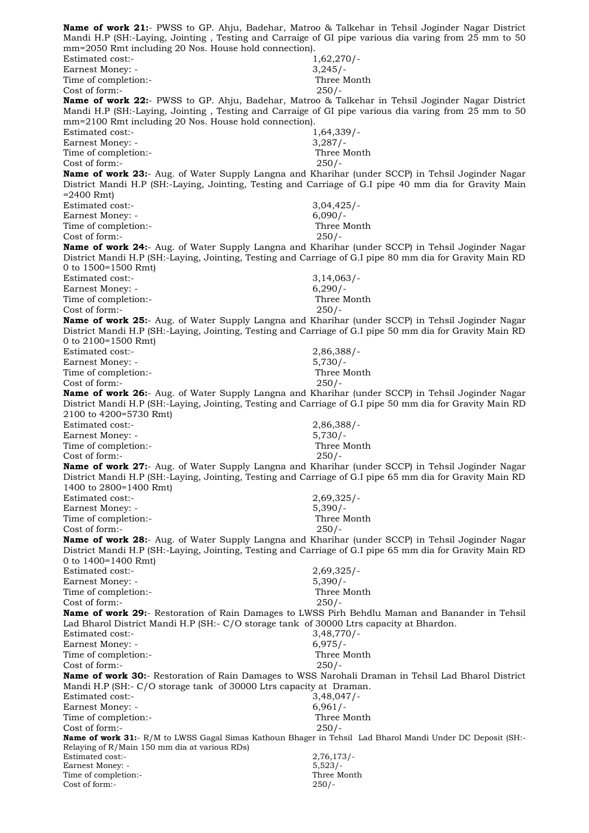**Name of work 21:**- PWSS to GP. Ahju, Badehar, Matroo & Talkehar in Tehsil Joginder Nagar District Mandi H.P (SH:-Laying, Jointing , Testing and Carraige of GI pipe various dia varing from 25 mm to 50 mm=2050 Rmt including 20 Nos. House hold connection). Estimated cost:- 1,62,270/- Earnest Money: - 3,245/-Time of completion:- Three Month Cost of form:- 250/- **Name of work 22:**- PWSS to GP. Ahju, Badehar, Matroo & Talkehar in Tehsil Joginder Nagar District Mandi H.P (SH:-Laying, Jointing , Testing and Carraige of GI pipe various dia varing from 25 mm to 50 mm=2100 Rmt including 20 Nos. House hold connection). Estimated cost:- 1,64,339/-Earnest Money: - 3,287/-Time of completion:- Three Month Cost of form:- 250/- **Name of work 23:**- Aug. of Water Supply Langna and Kharihar (under SCCP) in Tehsil Joginder Nagar District Mandi H.P (SH:-Laying, Jointing, Testing and Carriage of G.I pipe 40 mm dia for Gravity Main  $=2400$  Rmt) Estimated cost:- 3,04,425/- Earnest Money: - 6,090/-Time of completion:- Three Month Cost of form:- 250/- **Name of work 24:**- Aug. of Water Supply Langna and Kharihar (under SCCP) in Tehsil Joginder Nagar District Mandi H.P (SH:-Laying, Jointing, Testing and Carriage of G.I pipe 80 mm dia for Gravity Main RD 0 to 1500=1500 Rmt) Estimated cost:- 3,14,063/-Earnest Money: - 6,290/-Time of completion:- Three Month Cost of form:- 250/- **Name of work 25:**- Aug. of Water Supply Langna and Kharihar (under SCCP) in Tehsil Joginder Nagar District Mandi H.P (SH:-Laying, Jointing, Testing and Carriage of G.I pipe 50 mm dia for Gravity Main RD 0 to 2100=1500 Rmt) Estimated cost:- 2,86,388/- Earnest Money: - 5,730/-Time of completion:- Three Month Cost of form:- 250/- **Name of work 26:**- Aug. of Water Supply Langna and Kharihar (under SCCP) in Tehsil Joginder Nagar District Mandi H.P (SH:-Laying, Jointing, Testing and Carriage of G.I pipe 50 mm dia for Gravity Main RD 2100 to 4200=5730 Rmt) Estimated cost:- 2,86,388/- Earnest Money: - 5,730/-Time of completion:- Three Month Cost of form:- 250/- **Name of work 27:**- Aug. of Water Supply Langna and Kharihar (under SCCP) in Tehsil Joginder Nagar District Mandi H.P (SH:-Laying, Jointing, Testing and Carriage of G.I pipe 65 mm dia for Gravity Main RD 1400 to 2800=1400 Rmt) Estimated cost:- 2,69,325/- Earnest Money: - 5.390/-Time of completion:- Three Month Cost of form:- 250/- **Name of work 28:**- Aug. of Water Supply Langna and Kharihar (under SCCP) in Tehsil Joginder Nagar District Mandi H.P (SH:-Laying, Jointing, Testing and Carriage of G.I pipe 65 mm dia for Gravity Main RD 0 to 1400=1400 Rmt) Estimated cost:- 2,69,325/- Earnest Money: - 5,390/-Time of completion:- Three Month Cost of form:- 250/- **Name of work 29:**- Restoration of Rain Damages to LWSS Pirh Behdlu Maman and Banander in Tehsil Lad Bharol District Mandi H.P (SH:- C/O storage tank of 30000 Ltrs capacity at Bhardon. Estimated cost:-<br>Earnest Money: - 3,48,770/-<br>6,975/-Earnest Money: -Time of completion:- Three Month Cost of form:- 250/- **Name of work 30:**- Restoration of Rain Damages to WSS Narohali Draman in Tehsil Lad Bharol District Mandi H.P (SH:- C/O storage tank of 30000 Ltrs capacity at Draman. Estimated cost:- 3,48,047/- Earnest Money: - 6,961/-Time of completion:- Three Month Cost of form:- 250/- **Name of work 31:**- R/M to LWSS Gagal Simas Kathoun Bhager in Tehsil Lad Bharol Mandi Under DC Deposit (SH:- Relaying of R/Main 150 mm dia at various RDs) Estimated cost:- 2,76,173/-Earnest Money: - 5,523/- Time of completion:- Three Month Cost of form:- 250/-